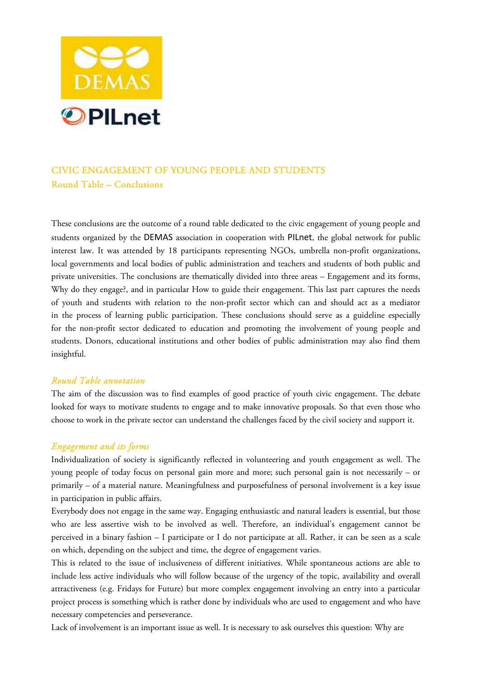

# CIVIC ENGAGEMENT OF YOUNG PEOPLE AND STUDENTS Round Table – Conclusions

These conclusions are the outcome of a round table dedicated to the civic engagement of young people and students organized by the DEMAS association in cooperation with PILnet, the global network for public interest law. It was attended by 18 participants representing NGOs, umbrella non-profit organizations, local governments and local bodies of public administration and teachers and students of both public and private universities. The conclusions are thematically divided into three areas – Engagement and its forms, Why do they engage?, and in particular How to guide their engagement. This last part captures the needs of youth and students with relation to the non-profit sector which can and should act as a mediator in the process of learning public participation. These conclusions should serve as a guideline especially for the non-profit sector dedicated to education and promoting the involvement of young people and students. Donors, educational institutions and other bodies of public administration may also find them insightful.

### *Round Table annotation*

The aim of the discussion was to find examples of good practice of youth civic engagement. The debate looked for ways to motivate students to engage and to make innovative proposals. So that even those who choose to work in the private sector can understand the challenges faced by the civil society and support it.

## *Engagement and its forms*

Individualization of society is significantly reflected in volunteering and youth engagement as well. The young people of today focus on personal gain more and more; such personal gain is not necessarily – or primarily – of a material nature. Meaningfulness and purposefulness of personal involvement is a key issue in participation in public affairs.

Everybody does not engage in the same way. Engaging enthusiastic and natural leaders is essential, but those who are less assertive wish to be involved as well. Therefore, an individual's engagement cannot be perceived in a binary fashion – I participate or I do not participate at all. Rather, it can be seen as a scale on which, depending on the subject and time, the degree of engagement varies.

This is related to the issue of inclusiveness of different initiatives. While spontaneous actions are able to include less active individuals who will follow because of the urgency of the topic, availability and overall attractiveness (e.g. Fridays for Future) but more complex engagement involving an entry into a particular project process is something which is rather done by individuals who are used to engagement and who have necessary competencies and perseverance.

Lack of involvement is an important issue as well. It is necessary to ask ourselves this question: Why are